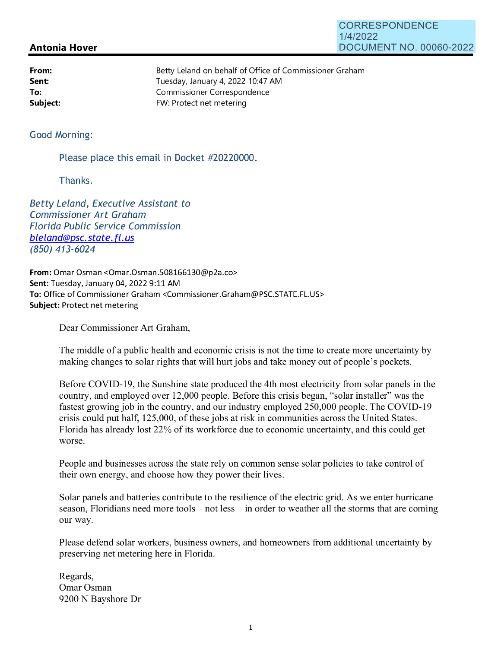## **Antonia Hover**

**From: Sent: To:** 

| <b>CORRESPONDENCE</b>   |
|-------------------------|
| 1/4/2022                |
| DOCUMENT NO. 00060-2022 |

Betty Leland on behalf of Office of Commissioner Graham Tuesday, January 4, 2022 10:47 AM Commissioner Correspondence **Subject:** FW: Protect net metering

## Good Morning:

Please place this email in Docket #20220000.

Thanks.

Betty Leland, Executive Assistant to Commissioner Art Graham Florida Public Service Commission bleland@psc.state.fl.us (850) 413-6024

**From:** Omar Osman <0mar.Osman.508166130@p2a.co> **Sent:** Tuesday, January 04, 2022 9:11 AM **To:** Office of Commissioner Graham <Commissioner.Graham@PSC.STATE.FL.US> **Subject:** Protect net metering

Dear Commissioner Art Graham,

The middle of a public health and economic crisis is not the time to create more uncertainty by making changes to solar rights that will hurt jobs and take money out of people's pockets.

Before COVID-19, the Sunshine state produced the 4th most electricity from solar panels in the country, and employed over 12,000 people. Before this crisis began, "solar installer" was the fastest growing job in the country, and our industry employed 250,000 people. The COVID-19 crisis could put half, 125,000, of these jobs at risk in communities across the United States. Florida has already lost 22% of its workforce due to economic uncertainty, and this could get worse.

People and businesses across the state rely on common sense solar policies to take control of their own energy, and choose how they power their lives.

Solar panels and batteries contribute to the resilience of the electric grid. As we enter hurricane season, Floridians need more tools  $-$  not less  $-$  in order to weather all the storms that are coming our way.

Please defend solar workers, business owners, and homeowners from additional uncertainty by preserving net metering here in Florida.

Regards, Omar Osman 9200 N Bayshore Dr